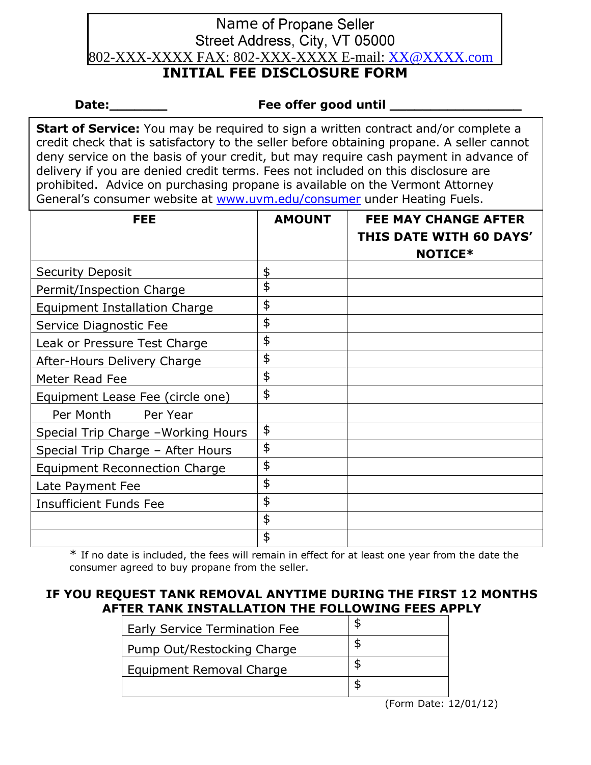# **Name of Propane Seller** Street Address, City, VT 05000 802-XXX-XXXX FAX: 802-XXX-XXXX E-mail: [XX@XXXX.com](mailto:XX@XXXX.com)

## **INITIAL FEE DISCLOSURE FORM**

#### **Date:\_\_\_\_\_\_\_ Fee offer good until \_\_\_\_\_\_\_\_\_\_\_\_\_\_\_\_**

**Start of Service:** You may be required to sign a written contract and/or complete a credit check that is satisfactory to the seller before obtaining propane. A seller cannot deny service on the basis of your credit, but may require cash payment in advance of delivery if you are denied credit terms. Fees not included on this disclosure are prohibited. Advice on purchasing propane is available on the Vermont Attorney General's consumer website at [www.uvm.edu/consumer](http://www.uvm.edu/consumer) under Heating Fuels.

| <b>FEE</b>                           | <b>AMOUNT</b> | <b>FEE MAY CHANGE AFTER</b><br><b>THIS DATE WITH 60 DAYS'</b><br><b>NOTICE*</b> |
|--------------------------------------|---------------|---------------------------------------------------------------------------------|
| <b>Security Deposit</b>              | \$            |                                                                                 |
| Permit/Inspection Charge             | \$            |                                                                                 |
| <b>Equipment Installation Charge</b> | \$            |                                                                                 |
| Service Diagnostic Fee               | \$            |                                                                                 |
| Leak or Pressure Test Charge         | \$            |                                                                                 |
| After-Hours Delivery Charge          | \$            |                                                                                 |
| Meter Read Fee                       | \$            |                                                                                 |
| Equipment Lease Fee (circle one)     | \$            |                                                                                 |
| Per Month<br>Per Year                |               |                                                                                 |
| Special Trip Charge - Working Hours  | \$            |                                                                                 |
| Special Trip Charge - After Hours    | \$            |                                                                                 |
| <b>Equipment Reconnection Charge</b> | \$            |                                                                                 |
| Late Payment Fee                     | \$            |                                                                                 |
| <b>Insufficient Funds Fee</b>        | \$            |                                                                                 |
|                                      | \$            |                                                                                 |
|                                      | \$            |                                                                                 |

\* If no date is included, the fees will remain in effect for at least one year from the date the consumer agreed to buy propane from the seller.

## **IF YOU REQUEST TANK REMOVAL ANYTIME DURING THE FIRST 12 MONTHS AFTER TANK INSTALLATION THE FOLLOWING FEES APPLY**

| <b>Early Service Termination Fee</b> |   |
|--------------------------------------|---|
| Pump Out/Restocking Charge           | S |
| Equipment Removal Charge             | S |
|                                      |   |

(Form Date: 12/01/12)